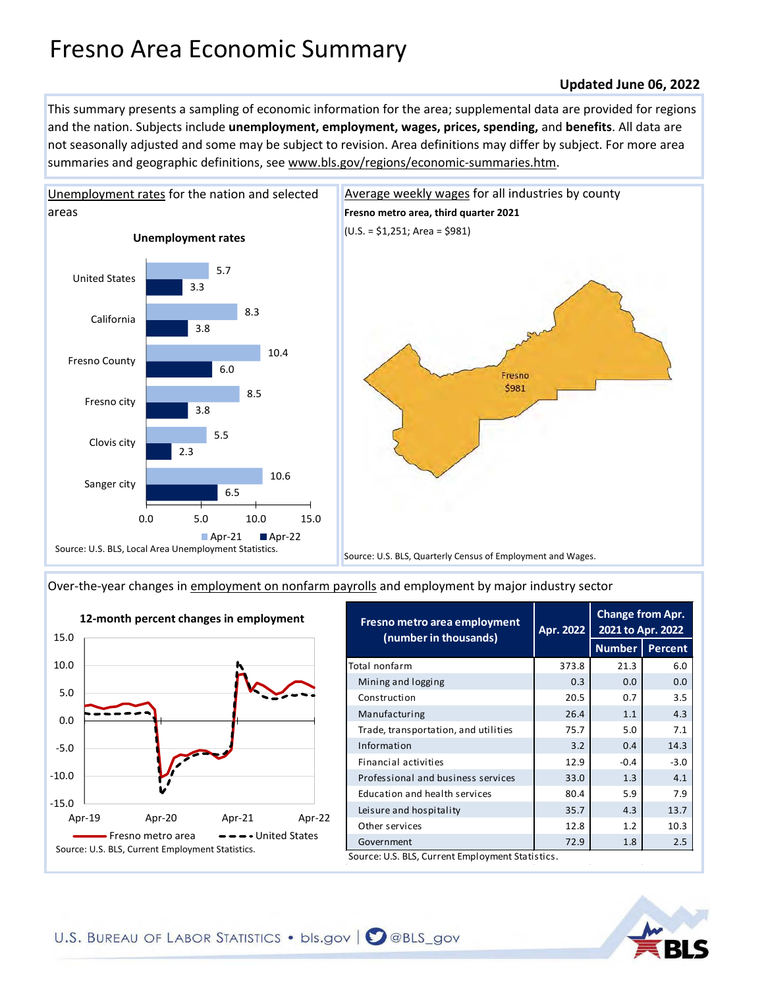# Fresno Area Economic Summary

## **Updated June 06, 2022**

This summary presents a sampling of economic information for the area; supplemental data are provided for regions and the nation. Subjects include **unemployment, employment, wages, prices, spending,** and **benefits**. All data are not seasonally adjusted and some may be subject to revision. Area definitions may differ by subject. For more area summaries and geographic definitions, see www.bls.gov/regions/economic-summaries.htm.



[Over-the-year changes in employment on nonfarm payrolls](https://www.bls.gov/sae/) and employment by major industry sector



| 373.8 | <b>Number</b>                                    | Percent |
|-------|--------------------------------------------------|---------|
|       |                                                  |         |
|       | 21.3                                             | 6.0     |
| 0.3   | 0.0                                              | 0.0     |
| 20.5  | 0.7                                              | 3.5     |
| 26.4  | 1.1                                              | 4.3     |
| 75.7  | 5.0                                              | 7.1     |
| 3.2   | 0.4                                              | 14.3    |
| 12.9  | $-0.4$                                           | $-3.0$  |
| 33.0  | 1.3                                              | 4.1     |
| 80.4  | 5.9                                              | 7.9     |
| 35.7  | 4.3                                              | 13.7    |
| 12.8  | 1.2                                              | 10.3    |
| 72.9  | 1.8                                              | 2.5     |
|       | Source: U.S. BLS, Current Employment Statistics. |         |